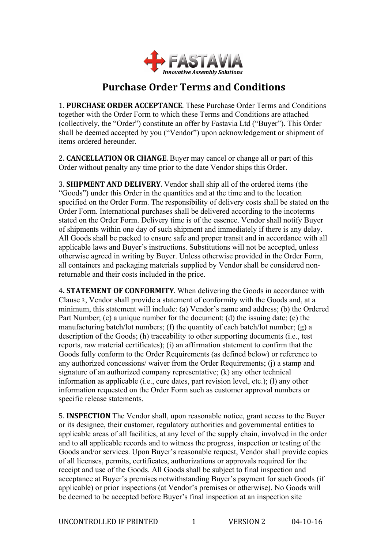

## **Purchase Order Terms and Conditions**

**1. PURCHASE ORDER ACCEPTANCE.** These Purchase Order Terms and Conditions together with the Order Form to which these Terms and Conditions are attached (collectively, the "Order") constitute an offer by Fastavia Ltd ("Buyer"). This Order shall be deemed accepted by you ("Vendor") upon acknowledgement or shipment of items ordered hereunder.

2. **CANCELLATION OR CHANGE**. Buyer may cancel or change all or part of this Order without penalty any time prior to the date Vendor ships this Order.

**3. SHIPMENT AND DELIVERY.** Vendor shall ship all of the ordered items (the "Goods") under this Order in the quantities and at the time and to the location specified on the Order Form. The responsibility of delivery costs shall be stated on the Order Form. International purchases shall be delivered according to the incoterms stated on the Order Form. Delivery time is of the essence. Vendor shall notify Buyer of shipments within one day of such shipment and immediately if there is any delay. All Goods shall be packed to ensure safe and proper transit and in accordance with all applicable laws and Buyer's instructions. Substitutions will not be accepted, unless otherwise agreed in writing by Buyer. Unless otherwise provided in the Order Form, all containers and packaging materials supplied by Vendor shall be considered nonreturnable and their costs included in the price.

**4. STATEMENT OF CONFORMITY.** When delivering the Goods in accordance with Clause 3, Vendor shall provide a statement of conformity with the Goods and, at a minimum, this statement will include: (a) Vendor's name and address; (b) the Ordered Part Number; (c) a unique number for the document; (d) the issuing date; (e) the manufacturing batch/lot numbers; (f) the quantity of each batch/lot number; (g) a description of the Goods; (h) traceability to other supporting documents (i.e., test reports, raw material certificates); (i) an affirmation statement to confirm that the Goods fully conform to the Order Requirements (as defined below) or reference to any authorized concessions/ waiver from the Order Requirements; (j) a stamp and signature of an authorized company representative; (k) any other technical information as applicable (i.e., cure dates, part revision level, etc.); (l) any other information requested on the Order Form such as customer approval numbers or specific release statements.

5. **INSPECTION** The Vendor shall, upon reasonable notice, grant access to the Buyer or its designee, their customer, regulatory authorities and governmental entities to applicable areas of all facilities, at any level of the supply chain, involved in the order and to all applicable records and to witness the progress, inspection or testing of the Goods and/or services. Upon Buyer's reasonable request, Vendor shall provide copies of all licenses, permits, certificates, authorizations or approvals required for the receipt and use of the Goods. All Goods shall be subject to final inspection and acceptance at Buyer's premises notwithstanding Buyer's payment for such Goods (if applicable) or prior inspections (at Vendor's premises or otherwise). No Goods will be deemed to be accepted before Buyer's final inspection at an inspection site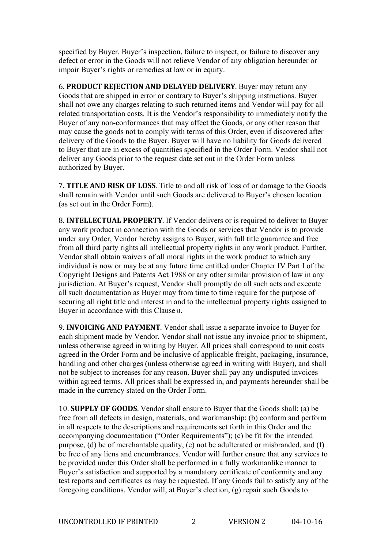specified by Buyer. Buyer's inspection, failure to inspect, or failure to discover any defect or error in the Goods will not relieve Vendor of any obligation hereunder or impair Buyer's rights or remedies at law or in equity.

**6. PRODUCT REJECTION AND DELAYED DELIVERY.** Buyer may return any Goods that are shipped in error or contrary to Buyer's shipping instructions. Buyer shall not owe any charges relating to such returned items and Vendor will pay for all related transportation costs. It is the Vendor's responsibility to immediately notify the Buyer of any non-conformances that may affect the Goods, or any other reason that may cause the goods not to comply with terms of this Order, even if discovered after delivery of the Goods to the Buyer. Buyer will have no liability for Goods delivered to Buyer that are in excess of quantities specified in the Order Form. Vendor shall not deliver any Goods prior to the request date set out in the Order Form unless authorized by Buyer.

**7. TITLE AND RISK OF LOSS.** Title to and all risk of loss of or damage to the Goods shall remain with Vendor until such Goods are delivered to Buyer's chosen location (as set out in the Order Form).

8. **INTELLECTUAL PROPERTY**. If Vendor delivers or is required to deliver to Buyer any work product in connection with the Goods or services that Vendor is to provide under any Order, Vendor hereby assigns to Buyer, with full title guarantee and free from all third party rights all intellectual property rights in any work product. Further, Vendor shall obtain waivers of all moral rights in the work product to which any individual is now or may be at any future time entitled under Chapter IV Part I of the Copyright Designs and Patents Act 1988 or any other similar provision of law in any jurisdiction. At Buyer's request, Vendor shall promptly do all such acts and execute all such documentation as Buyer may from time to time require for the purpose of securing all right title and interest in and to the intellectual property rights assigned to Buyer in accordance with this Clause 8.

9. **INVOICING AND PAYMENT**. Vendor shall issue a separate invoice to Buyer for each shipment made by Vendor. Vendor shall not issue any invoice prior to shipment, unless otherwise agreed in writing by Buyer. All prices shall correspond to unit costs agreed in the Order Form and be inclusive of applicable freight, packaging, insurance, handling and other charges (unless otherwise agreed in writing with Buyer), and shall not be subject to increases for any reason. Buyer shall pay any undisputed invoices within agreed terms. All prices shall be expressed in, and payments hereunder shall be made in the currency stated on the Order Form.

10. **SUPPLY OF GOODS**. Vendor shall ensure to Buyer that the Goods shall: (a) be free from all defects in design, materials, and workmanship; (b) conform and perform in all respects to the descriptions and requirements set forth in this Order and the accompanying documentation ("Order Requirements"); (c) be fit for the intended purpose, (d) be of merchantable quality, (e) not be adulterated or misbranded, and (f) be free of any liens and encumbrances. Vendor will further ensure that any services to be provided under this Order shall be performed in a fully workmanlike manner to Buyer's satisfaction and supported by a mandatory certificate of conformity and any test reports and certificates as may be requested. If any Goods fail to satisfy any of the foregoing conditions, Vendor will, at Buyer's election, (g) repair such Goods to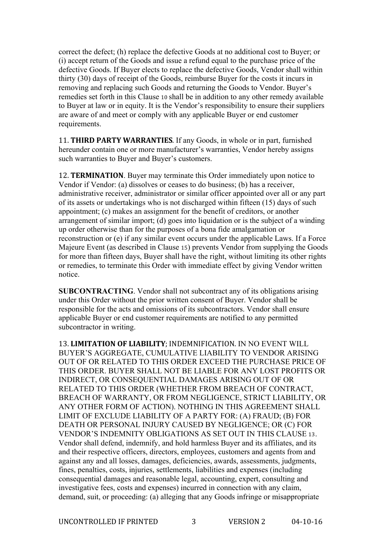correct the defect; (h) replace the defective Goods at no additional cost to Buyer; or (i) accept return of the Goods and issue a refund equal to the purchase price of the defective Goods. If Buyer elects to replace the defective Goods, Vendor shall within thirty (30) days of receipt of the Goods, reimburse Buyer for the costs it incurs in removing and replacing such Goods and returning the Goods to Vendor. Buyer's remedies set forth in this Clause 10 shall be in addition to any other remedy available to Buyer at law or in equity. It is the Vendor's responsibility to ensure their suppliers are aware of and meet or comply with any applicable Buyer or end customer requirements.

**11. THIRD PARTY WARRANTIES.** If any Goods, in whole or in part, furnished hereunder contain one or more manufacturer's warranties, Vendor hereby assigns such warranties to Buyer and Buyer's customers.

12. **TERMINATION**. Buyer may terminate this Order immediately upon notice to Vendor if Vendor: (a) dissolves or ceases to do business; (b) has a receiver, administrative receiver, administrator or similar officer appointed over all or any part of its assets or undertakings who is not discharged within fifteen (15) days of such appointment; (c) makes an assignment for the benefit of creditors, or another arrangement of similar import; (d) goes into liquidation or is the subject of a winding up order otherwise than for the purposes of a bona fide amalgamation or reconstruction or (e) if any similar event occurs under the applicable Laws. If a Force Majeure Event (as described in Clause 15) prevents Vendor from supplying the Goods for more than fifteen days, Buyer shall have the right, without limiting its other rights or remedies, to terminate this Order with immediate effect by giving Vendor written notice.

**SUBCONTRACTING**. Vendor shall not subcontract any of its obligations arising under this Order without the prior written consent of Buyer. Vendor shall be responsible for the acts and omissions of its subcontractors. Vendor shall ensure applicable Buyer or end customer requirements are notified to any permitted subcontractor in writing.

13. LIMITATION OF LIABILITY; INDEMNIFICATION. IN NO EVENT WILL BUYER'S AGGREGATE, CUMULATIVE LIABILITY TO VENDOR ARISING OUT OF OR RELATED TO THIS ORDER EXCEED THE PURCHASE PRICE OF THIS ORDER. BUYER SHALL NOT BE LIABLE FOR ANY LOST PROFITS OR INDIRECT, OR CONSEQUENTIAL DAMAGES ARISING OUT OF OR RELATED TO THIS ORDER (WHETHER FROM BREACH OF CONTRACT, BREACH OF WARRANTY, OR FROM NEGLIGENCE, STRICT LIABILITY, OR ANY OTHER FORM OF ACTION). NOTHING IN THIS AGREEMENT SHALL LIMIT OF EXCLUDE LIABILITY OF A PARTY FOR: (A) FRAUD; (B) FOR DEATH OR PERSONAL INJURY CAUSED BY NEGLIGENCE; OR (C) FOR VENDOR'S INDEMNITY OBLIGATIONS AS SET OUT IN THIS CLAUSE 13. Vendor shall defend, indemnify, and hold harmless Buyer and its affiliates, and its and their respective officers, directors, employees, customers and agents from and against any and all losses, damages, deficiencies, awards, assessments, judgments, fines, penalties, costs, injuries, settlements, liabilities and expenses (including consequential damages and reasonable legal, accounting, expert, consulting and investigative fees, costs and expenses) incurred in connection with any claim, demand, suit, or proceeding: (a) alleging that any Goods infringe or misappropriate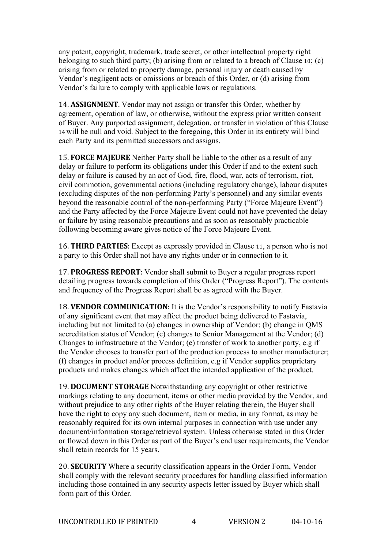any patent, copyright, trademark, trade secret, or other intellectual property right belonging to such third party; (b) arising from or related to a breach of Clause 10; (c) arising from or related to property damage, personal injury or death caused by Vendor's negligent acts or omissions or breach of this Order, or (d) arising from Vendor's failure to comply with applicable laws or regulations.

14. **ASSIGNMENT**. Vendor may not assign or transfer this Order, whether by agreement, operation of law, or otherwise, without the express prior written consent of Buyer. Any purported assignment, delegation, or transfer in violation of this Clause 14 will be null and void. Subject to the foregoing, this Order in its entirety will bind each Party and its permitted successors and assigns.

**15. FORCE MAJEURE** Neither Party shall be liable to the other as a result of any delay or failure to perform its obligations under this Order if and to the extent such delay or failure is caused by an act of God, fire, flood, war, acts of terrorism, riot, civil commotion, governmental actions (including regulatory change), labour disputes (excluding disputes of the non-performing Party's personnel) and any similar events beyond the reasonable control of the non-performing Party ("Force Majeure Event") and the Party affected by the Force Majeure Event could not have prevented the delay or failure by using reasonable precautions and as soon as reasonably practicable following becoming aware gives notice of the Force Majeure Event.

16. **THIRD PARTIES**: Except as expressly provided in Clause 11, a person who is not a party to this Order shall not have any rights under or in connection to it.

**17. PROGRESS REPORT:** Vendor shall submit to Buyer a regular progress report detailing progress towards completion of this Order ("Progress Report"). The contents and frequency of the Progress Report shall be as agreed with the Buyer.

18. **VENDOR COMMUNICATION**: It is the Vendor's responsibility to notify Fastavia of any significant event that may affect the product being delivered to Fastavia, including but not limited to (a) changes in ownership of Vendor; (b) change in QMS accreditation status of Vendor; (c) changes to Senior Management at the Vendor; (d) Changes to infrastructure at the Vendor; (e) transfer of work to another party, e.g if the Vendor chooses to transfer part of the production process to another manufacturer; (f) changes in product and/or process definition, e.g if Vendor supplies proprietary products and makes changes which affect the intended application of the product.

19. **DOCUMENT STORAGE** Notwithstanding any copyright or other restrictive markings relating to any document, items or other media provided by the Vendor, and without prejudice to any other rights of the Buyer relating therein, the Buyer shall have the right to copy any such document, item or media, in any format, as may be reasonably required for its own internal purposes in connection with use under any document/information storage/retrieval system. Unless otherwise stated in this Order or flowed down in this Order as part of the Buyer's end user requirements, the Vendor shall retain records for 15 years.

20. **SECURITY** Where a security classification appears in the Order Form, Vendor shall comply with the relevant security procedures for handling classified information including those contained in any security aspects letter issued by Buyer which shall form part of this Order.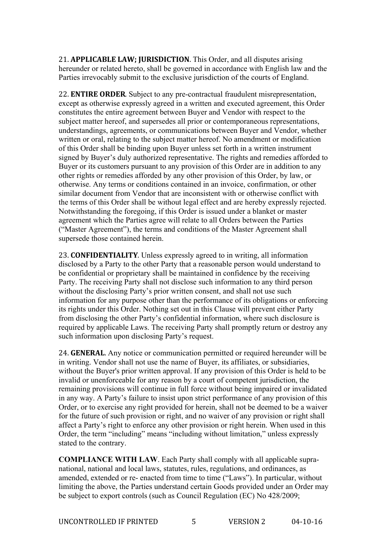21. **APPLICABLE LAW; JURISDICTION**. This Order, and all disputes arising hereunder or related hereto, shall be governed in accordance with English law and the Parties irrevocably submit to the exclusive jurisdiction of the courts of England.

22. **ENTIRE ORDER**. Subject to any pre-contractual fraudulent misrepresentation, except as otherwise expressly agreed in a written and executed agreement, this Order constitutes the entire agreement between Buyer and Vendor with respect to the subject matter hereof, and supersedes all prior or contemporaneous representations, understandings, agreements, or communications between Buyer and Vendor, whether written or oral, relating to the subject matter hereof. No amendment or modification of this Order shall be binding upon Buyer unless set forth in a written instrument signed by Buyer's duly authorized representative. The rights and remedies afforded to Buyer or its customers pursuant to any provision of this Order are in addition to any other rights or remedies afforded by any other provision of this Order, by law, or otherwise. Any terms or conditions contained in an invoice, confirmation, or other similar document from Vendor that are inconsistent with or otherwise conflict with the terms of this Order shall be without legal effect and are hereby expressly rejected. Notwithstanding the foregoing, if this Order is issued under a blanket or master agreement which the Parties agree will relate to all Orders between the Parties ("Master Agreement"), the terms and conditions of the Master Agreement shall supersede those contained herein.

23. **CONFIDENTIALITY**. Unless expressly agreed to in writing, all information disclosed by a Party to the other Party that a reasonable person would understand to be confidential or proprietary shall be maintained in confidence by the receiving Party. The receiving Party shall not disclose such information to any third person without the disclosing Party's prior written consent, and shall not use such information for any purpose other than the performance of its obligations or enforcing its rights under this Order. Nothing set out in this Clause will prevent either Party from disclosing the other Party's confidential information, where such disclosure is required by applicable Laws. The receiving Party shall promptly return or destroy any such information upon disclosing Party's request.

24. **GENERAL**. Any notice or communication permitted or required hereunder will be in writing. Vendor shall not use the name of Buyer, its affiliates, or subsidiaries, without the Buyer's prior written approval. If any provision of this Order is held to be invalid or unenforceable for any reason by a court of competent jurisdiction, the remaining provisions will continue in full force without being impaired or invalidated in any way. A Party's failure to insist upon strict performance of any provision of this Order, or to exercise any right provided for herein, shall not be deemed to be a waiver for the future of such provision or right, and no waiver of any provision or right shall affect a Party's right to enforce any other provision or right herein. When used in this Order, the term "including" means "including without limitation," unless expressly stated to the contrary.

**COMPLIANCE WITH LAW**. Each Party shall comply with all applicable supranational, national and local laws, statutes, rules, regulations, and ordinances, as amended, extended or re- enacted from time to time ("Laws"). In particular, without limiting the above, the Parties understand certain Goods provided under an Order may be subject to export controls (such as Council Regulation (EC) No 428/2009;